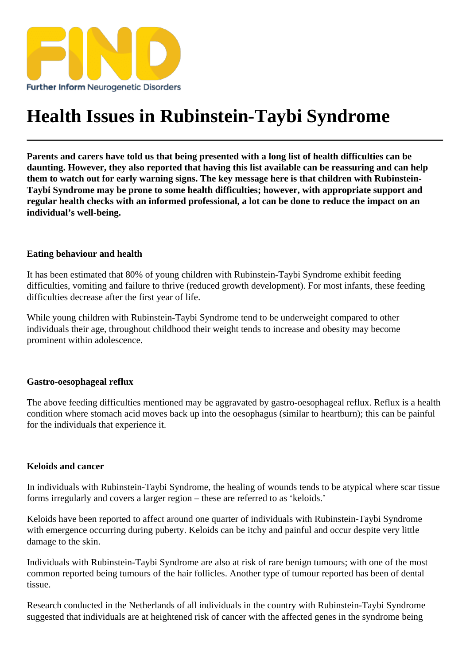# [Health Issues in Ru](https://findresources.co.uk)binstein-Taybi Syndrome

Parents and carers have told us that being presented with a long list of health difficulties can be daunting. However, they also reported that having this list available can be reassuring and can help them to watch out for early warning signs. The key message here is that children with Rubinstein-Taybi Syndrome may be prone to some health difficulties; however, with appropriate support and regular health checks with an informed professional, a lot can be done to reduce the impact on an individual's well-being.

## Eating behaviour and health

It has been estimated that 80% of young children with Rubinstein-Taybi Syndrome teedulbit difficulties, vomiting and failure to thrive (reduced growth development). For most infants, these feeding difficulties decrease after the first year of life.

While young children with Rubinstein-Taybi Syndrome tend to be underweight compared to other individuals their age, throughout childhood their weight tends to increase and obesity may become prominent within adolescence.

## Gastro-oesophageal reflux

The above feeding difficulties mentioned may be aggravated by o-oesophageal reflux eflux is a health condition where stomach acid moves back up into the oesophagus (similar to heartburn); this can be painful for the individuals that experience it.

## Keloids and cancer

In individuals with Rubinstein-Taybi Syndrome, the healing of wounds tends to be alwhere scar tissue forms irregularly and covers a larger region – these are referred to as 'keloids.'

Keloids have been reported to affect around quarteof individuals with Rubinstein-Taybi Syndrome with emergence occurring during puberty. Keloids can be itchy and painful and occur despite very little damage to the skin.

Individuals with Rubinstein-Taybi Syndrome are also at ristand benign tumours with one of the most common reported being tumours of the hair follicles. Another type of tumour reported has been of dental tissue.

Research conducted in the Netherlands of all individuals in the country with Rubinstein-Taybi Syndrome suggested that individuals are at heightened risk of cancer with the affected genes in the syndrome being